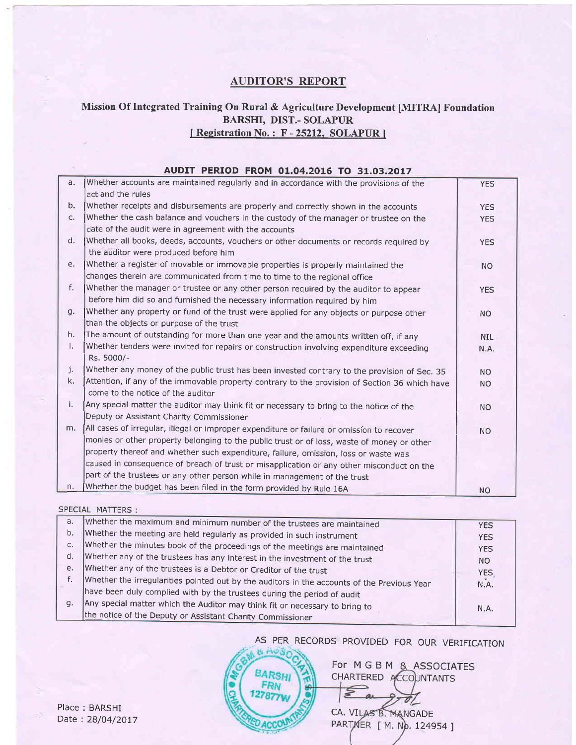## AUDITOR'S REPORT

### Mission Of Integrated Training On Rural & Agriculture Development [MITRAI Foundation BARSIII, DIST.- SOLAPIJR [Registration No.: F-25212, SOLAPUR]

|                | AUDIT PERIOD FROM 01.04.2016 TO 31.03.2017                                                     |            |
|----------------|------------------------------------------------------------------------------------------------|------------|
| a.             | Whether accounts are maintained regularly and in accordance with the provisions of the         | <b>YES</b> |
|                | act and the rules                                                                              |            |
| b.             | Whether receipts and disbursements are properly and correctly shown in the accounts            | <b>YES</b> |
| C <sub>1</sub> | Whether the cash balance and vouchers in the custody of the manager or trustee on the          | <b>YES</b> |
|                | date of the audit were in agreement with the accounts                                          |            |
| d.             | Whether all books, deeds, accounts, vouchers or other documents or records required by         | <b>YES</b> |
|                | the auditor were produced before him                                                           |            |
| e.             | Whether a register of movable or immovable properties is properly maintained the               | <b>NO</b>  |
|                | changes therein are communicated from time to time to the regional office                      |            |
| f.             | Whether the manager or trustee or any other person required by the auditor to appear           | <b>YES</b> |
|                | before him did so and furnished the necessary information required by him                      |            |
| q.             | Whether any property or fund of the trust were applied for any objects or purpose other        | <b>NO</b>  |
|                | than the objects or purpose of the trust                                                       |            |
| h.             | The amount of outstanding for more than one year and the amounts written off, if any           | <b>NIL</b> |
| i.             | Whether tenders were invited for repairs or construction involving expenditure exceeding       | N.A.       |
|                | Rs. 5000/-                                                                                     |            |
| j.             | Whether any money of the public trust has been invested contrary to the provision of Sec. 35   | <b>NO</b>  |
| k.             | Attention, if any of the immovable property contrary to the provision of Section 36 which have | <b>NO</b>  |
|                | come to the notice of the auditor                                                              |            |
| Ι.             | Any special matter the auditor may think fit or necessary to bring to the notice of the        | <b>NO</b>  |
|                | Deputy or Assistant Charity Commissioner                                                       |            |
| m.             | All cases of irregular, illegal or improper expenditure or failure or omission to recover      | <b>NO</b>  |
|                | monies or other property belonging to the public trust or of loss, waste of money or other     |            |
|                | property thereof and whether such expenditure, failure, omission, loss or waste was            |            |
|                | caused in consequence of breach of trust or misapplication or any other misconduct on the      |            |
|                | part of the trustees or any other person while in management of the trust                      |            |
| n.             | Whether the budget has been filed in the form provided by Rule 16A                             | <b>NO</b>  |

#### SPECIAL MATTERS:

| a. | Whether the maximum and minimum number of the trustees are maintained                       | <b>YES</b> |
|----|---------------------------------------------------------------------------------------------|------------|
| b. | Whether the meeting are held regularly as provided in such instrument                       | <b>YES</b> |
| C. | Whether the minutes book of the proceedings of the meetings are maintained                  | <b>YES</b> |
| d. | Whether any of the trustees has any interest in the investment of the trust                 | NO.        |
| e. | Whether any of the trustees is a Debtor or Creditor of the trust                            | <b>YES</b> |
| f. | Whether the irregularities pointed out by the auditors in the accounts of the Previous Year | N.A.       |
|    | have been duly complied with by the trustees during the period of audit                     |            |
| q. | Any special matter which the Auditor may think fit or necessary to bring to                 | N.A.       |
|    | the notice of the Deputy or Assistant Charity Commissioner                                  |            |

# AS PER RECORDS PROVIDED FOR OUR VERIFICATION

 $\leq$ 

**BARSHI** FRN 27877

For MGBM & ASSOCIATES CHARTERED ACCOUNTANTS

 $\sigma$ /

CA. VILAS B. MANGADE PARTMER [ M. Np. 124954 ]

Place : BARSHI Date: 28/04/2017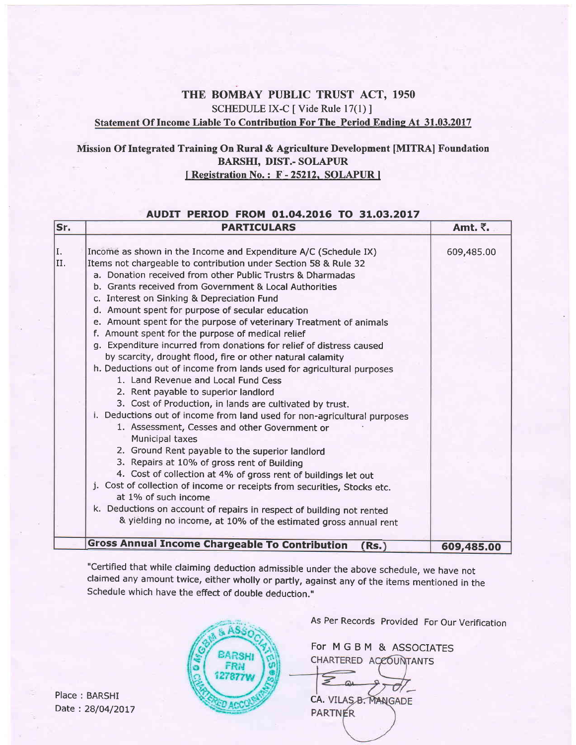## THE BOMBAY PUBLIC TRUST ACT, 1950 SCHEDULE IX-C [ Vide Rule 17(1) ] Statement Of Income Liable To Contribution For The Period Ending At 31.03.2017

### Mission Of Integrated Training On Rural & Agriculture Development [MITRA] Foundation BARSHI, DIST.- SOLAPUR [Registration No.: F-25212, SOLAPUR]

#### AUDIT PERIOD FROM 01.04.2016 TO 31.03.2017

| Sr.        | <b>PARTICULARS</b>                                                                                                                                                                                                                                                                                                                                                                                                                                                                                                                                                                                                                                                                                                                                                                                                                                                                                                                                                                                                                                                                                                                                                                                                                                                                                                                                                                                                              | Amt. ₹.    |
|------------|---------------------------------------------------------------------------------------------------------------------------------------------------------------------------------------------------------------------------------------------------------------------------------------------------------------------------------------------------------------------------------------------------------------------------------------------------------------------------------------------------------------------------------------------------------------------------------------------------------------------------------------------------------------------------------------------------------------------------------------------------------------------------------------------------------------------------------------------------------------------------------------------------------------------------------------------------------------------------------------------------------------------------------------------------------------------------------------------------------------------------------------------------------------------------------------------------------------------------------------------------------------------------------------------------------------------------------------------------------------------------------------------------------------------------------|------------|
| II.<br>II. | Income as shown in the Income and Expenditure A/C (Schedule IX)<br>Items not chargeable to contribution under Section 58 & Rule 32<br>a. Donation received from other Public Trustrs & Dharmadas<br>b. Grants received from Government & Local Authorities<br>c. Interest on Sinking & Depreciation Fund<br>d. Amount spent for purpose of secular education<br>e. Amount spent for the purpose of veterinary Treatment of animals<br>f. Amount spent for the purpose of medical relief<br>Expenditure incurred from donations for relief of distress caused<br>q.<br>by scarcity, drought flood, fire or other natural calamity<br>h. Deductions out of income from lands used for agricultural purposes<br>1. Land Revenue and Local Fund Cess<br>2. Rent payable to superior landlord<br>3. Cost of Production, in lands are cultivated by trust.<br>i. Deductions out of income from land used for non-agricultural purposes<br>1. Assessment, Cesses and other Government or<br><b>Municipal taxes</b><br>2. Ground Rent payable to the superior landlord<br>3. Repairs at 10% of gross rent of Building<br>4. Cost of collection at 4% of gross rent of buildings let out<br>j. Cost of collection of income or receipts from securities, Stocks etc.<br>at 1% of such income<br>k. Deductions on account of repairs in respect of building not rented<br>& yielding no income, at 10% of the estimated gross annual rent | 609,485.00 |
|            | <b>Gross Annual Income Chargeable To Contribution</b><br>(Rs.)                                                                                                                                                                                                                                                                                                                                                                                                                                                                                                                                                                                                                                                                                                                                                                                                                                                                                                                                                                                                                                                                                                                                                                                                                                                                                                                                                                  | 609,485.00 |

"Ceftified that while claiming deduction admissible under the above schedule, we have not claimed any amount twice, either wholly or partly, against any of the items mentioned in the Schedule which have the effect of double deduction."

Place : BARSHI Date: 28/04/2017



As Per Records Provided For Our Verification

For MGBM & ASSOCIATES CHARTERED ACCOUNTANTS

 $\geq$ CA, VILAS B. MANGADE

**PARTNER**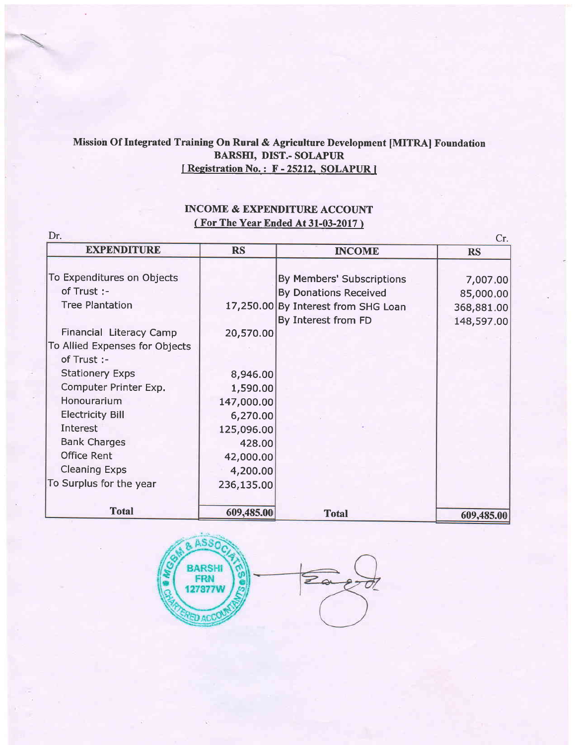## Missioh Of Integrated Training On Rural & Agriculture Development [MITRA] Foundation BARSII, DIST.- SOLAPUR I Registration No.: F-25212, SOLAPUR I

## INCOME & EXPENDITURE ACCOUNT ( For The Year Ended At 31-03-2017 )

| <b>EXPENDITURE</b>             | <b>RS</b>  | <b>INCOME</b>                       | <b>RS</b>  |
|--------------------------------|------------|-------------------------------------|------------|
|                                |            |                                     |            |
| To Expenditures on Objects     |            | By Members' Subscriptions           | 7,007.00   |
| of Trust :-                    |            | <b>By Donations Received</b>        | 85,000.00  |
| <b>Tree Plantation</b>         |            | 17,250.00 By Interest from SHG Loan | 368,881.00 |
|                                |            | By Interest from FD                 | 148,597.00 |
| Financial Literacy Camp        | 20,570.00  |                                     |            |
| To Allied Expenses for Objects |            |                                     |            |
| of Trust :-                    |            |                                     |            |
| <b>Stationery Exps</b>         | 8,946.00   |                                     |            |
| Computer Printer Exp.          | 1,590.00   |                                     |            |
| Honourarium                    | 147,000.00 |                                     |            |
| <b>Electricity Bill</b>        | 6,270.00   |                                     |            |
| Interest                       | 125,096.00 |                                     |            |
| <b>Bank Charges</b>            | 428.00     |                                     |            |
| <b>Office Rent</b>             | 42,000.00  |                                     |            |
| <b>Cleaning Exps</b>           | 4,200.00   |                                     |            |
| To Surplus for the year        | 236,135.00 |                                     |            |
|                                |            |                                     |            |
| <b>Total</b>                   | 609,485.00 | <b>Total</b>                        | 609,485.00 |